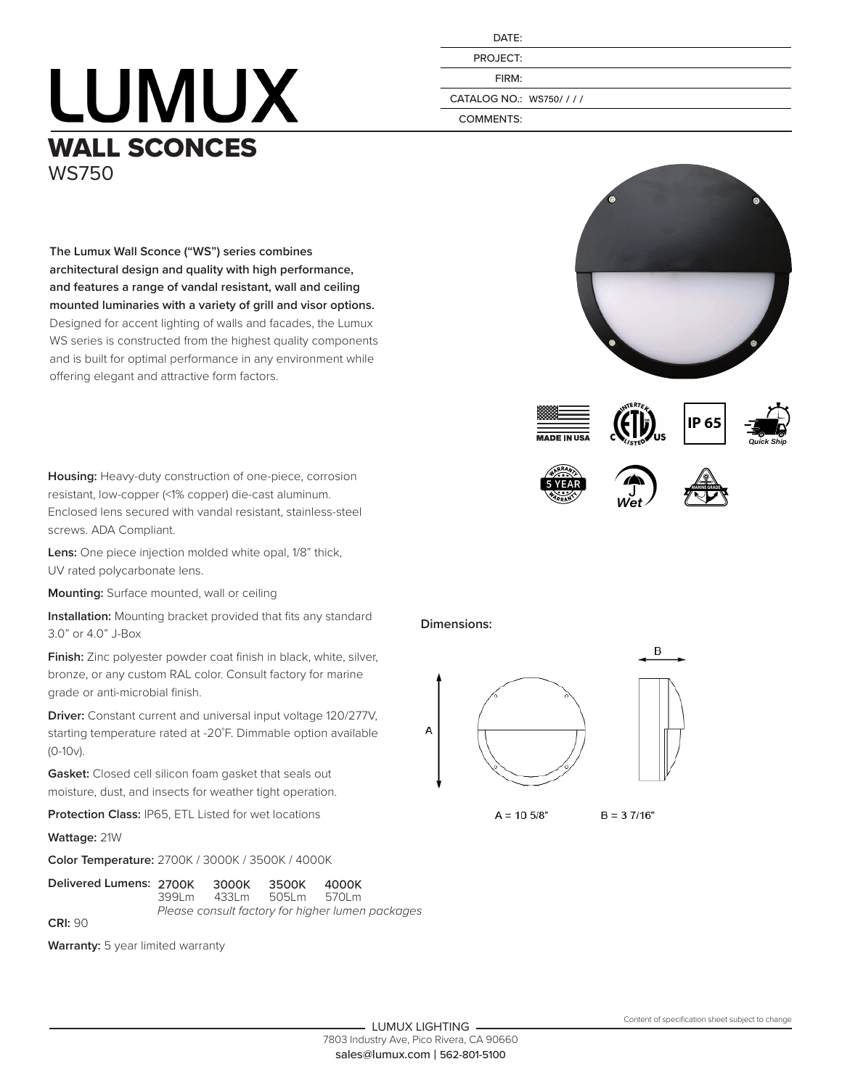## **LUMUX** WALL SCONCES WS750

| DATE:                 |
|-----------------------|
| PROJECT:              |
| FIRM:                 |
| ATALOG NO.: WS750//// |
| <b>COMMENTS:</b>      |

CA



**Housing:** Heavy-duty construction of one-piece, corrosion resistant, low-copper (<1% copper) die-cast aluminum. Enclosed lens secured with vandal resistant, stainless-steel screws. ADA Compliant.

**Lens:** One piece injection molded white opal, 1/8" thick, UV rated polycarbonate lens.

**Mounting:** Surface mounted, wall or ceiling

**Installation:** Mounting bracket provided that fits any standard 3.0" or 4.0" J-Box

**Finish:** Zinc polyester powder coat finish in black, white, silver, bronze, or any custom RAL color. Consult factory for marine grade or anti-microbial finish.

**Driver:** Constant current and universal input voltage 120/277V, starting temperature rated at -20˚F. Dimmable option available (0-10v).

**Gasket:** Closed cell silicon foam gasket that seals out moisture, dust, and insects for weather tight operation.

**Protection Class:** IP65, ETL Listed for wet locations

**Wattage:** 21W

**Color Temperature:** 2700K / 3000K / 3500K / 4000K

| Delivered Lumens: 2700K 3000K |                                                  |             | 3500K | 4000K |  |  |  |
|-------------------------------|--------------------------------------------------|-------------|-------|-------|--|--|--|
|                               |                                                  | 399Lm 433Lm | 505Lm | 570 m |  |  |  |
|                               | Please consult factory for higher lumen packages |             |       |       |  |  |  |
| CRI: 90                       |                                                  |             |       |       |  |  |  |

**Warranty:** 5 year limited warranty













**IP 65**

**Dimensions:**



 $A = 10.5/8"$  $B = 37/16"$